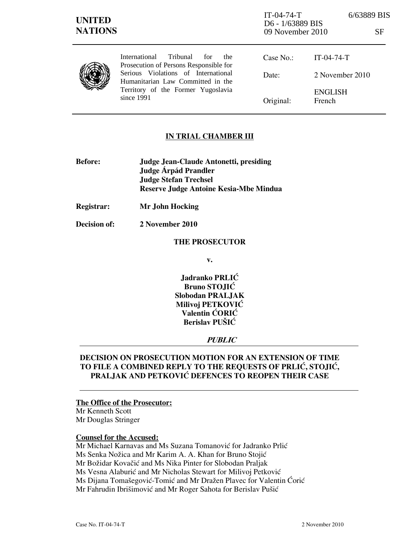| <b>UNITED</b><br><b>NATIONS</b> |                                                                                                                                                                                                                           | $IT-04-74-T$<br>D6 - 1/63889 BIS<br>09 November 2010 |                          | 6/63889 BIS<br>SF |
|---------------------------------|---------------------------------------------------------------------------------------------------------------------------------------------------------------------------------------------------------------------------|------------------------------------------------------|--------------------------|-------------------|
|                                 | Tribunal<br><b>International</b><br>for<br>the.<br>Prosecution of Persons Responsible for<br>Serious Violations of International<br>Humanitarian Law Committed in the<br>Territory of the Former Yugoslavia<br>since 1991 | Case No.:                                            | $IT-04-74-T$             |                   |
|                                 |                                                                                                                                                                                                                           | Date:                                                | 2 November 2010          |                   |
|                                 |                                                                                                                                                                                                                           | Original:                                            | <b>ENGLISH</b><br>French |                   |

# IN TRIAL CHAMBER III

- Before: Judge Jean-Claude Antonetti, presiding Judge **Árpád Prandler**  Judge Stefan Trechsel Reserve Judge Antoine Kesia-Mbe Mindua
- Registrar: Mr John Hocking
- Decision of: 2 November 2010

### THE PROSECUTOR

v.

Jadranko PRLIĆ Bruno STOJIĆ Slobodan PRALJAK Milivoj PETKOVIĆ Valentin ĆORIĆ Berislav PUŠIĆ

## **PUBLIC**

# DECISION ON PROSECUTION MOTION FOR AN EXTENSION OF TIME TO FILE A COMBINED REPLY TO THE REQUESTS OF PRLIĆ, STOJIĆ, PRALJAK AND PETKOVIĆ DEFENCES TO REOPEN THEIR CASE

#### The Office of the Prosecutor:

Mr Kenneth Scott Mr Douglas Stringer

## Counsel for the Accused:

Mr Michael Karnavas and Ms Suzana Tomanović for Jadranko Prlić Ms Senka Nožica and Mr Karim A. A. Khan for Bruno Stojić Mr Božidar Kovačić and Ms Nika Pinter for Slobodan Praljak Ms Vesna Alaburić and Mr Nicholas Stewart for Milivoj Petković Ms Dijana Tomašegović-Tomić and Mr Dražen Plavec for Valentin Ćorić Mr Fahrudin Ibrišimović and Mr Roger Sahota for Berislav Pušić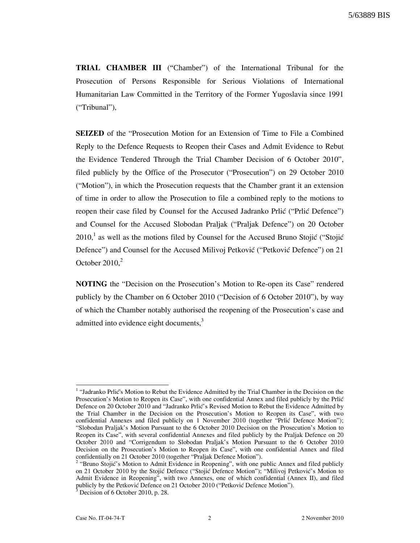TRIAL CHAMBER III ("Chamber") of the International Tribunal for the Prosecution of Persons Responsible for Serious Violations of International Humanitarian Law Committed in the Territory of the Former Yugoslavia since 1991 ("Tribunal"),

SEIZED of the "Prosecution Motion for an Extension of Time to File a Combined Reply to the Defence Requests to Reopen their Cases and Admit Evidence to Rebut the Evidence Tendered Through the Trial Chamber Decision of 6 October 2010", filed publicly by the Office of the Prosecutor ("Prosecution") on 29 October 2010 ("Motion"), in which the Prosecution requests that the Chamber grant it an extension of time in order to allow the Prosecution to file a combined reply to the motions to reopen their case filed by Counsel for the Accused Jadranko Prlić ("Prlić Defence") and Counsel for the Accused Slobodan Praljak ("Praljak Defence") on 20 October  $2010<sup>1</sup>$  as well as the motions filed by Counsel for the Accused Bruno Stojić ("Stojić Defence") and Counsel for the Accused Milivoj Petković ("Petković Defence") on 21 October  $2010<sup>2</sup>$ 

NOTING the "Decision on the Prosecution's Motion to Re-open its Case" rendered publicly by the Chamber on 6 October 2010 ("Decision of 6 October 2010"), by way of which the Chamber notably authorised the reopening of the Prosecution's case and admitted into evidence eight documents, $3$ 

 $\overline{a}$ 

<sup>&</sup>lt;sup>1</sup> "Jadranko Prlić's Motion to Rebut the Evidence Admitted by the Trial Chamber in the Decision on the Prosecution's Motion to Reopen its Case", with one confidential Annex and filed publicly by the Prlić Defence on 20 October 2010 and "Jadranko Prlić's Revised Motion to Rebut the Evidence Admitted by the Trial Chamber in the Decision on the Prosecution's Motion to Reopen its Case", with two confidential Annexes and filed publicly on 1 November 2010 (together "Prlić Defence Motion"); "Slobodan Praljak's Motion Pursuant to the 6 October 2010 Decision on the Prosecution's Motion to Reopen its Case", with several confidential Annexes and filed publicly by the Praljak Defence on 20 October 2010 and "Corrigendum to Slobodan Praljak's Motion Pursuant to the 6 October 2010 Decision on the Prosecution's Motion to Reopen its Case", with one confidential Annex and filed confidentially on 21 October 2010 (together "Praljak Defence Motion").<br><sup>2</sup> "Bruno Stojić's Motion to Admit Evidence in Reopening", with one public Annex and filed publicly

on 21 October 2010 by the Stojić Defence ("Stojić Defence Motion"); "Milivoj Petković's Motion to Admit Evidence in Reopening", with two Annexes, one of which confidential (Annex II), and filed publicly by the Petković Defence on 21 October 2010 ("Petković Defence Motion").<br><sup>3</sup> Desision of 6 October 2010, p. 28

Decision of 6 October 2010, p. 28.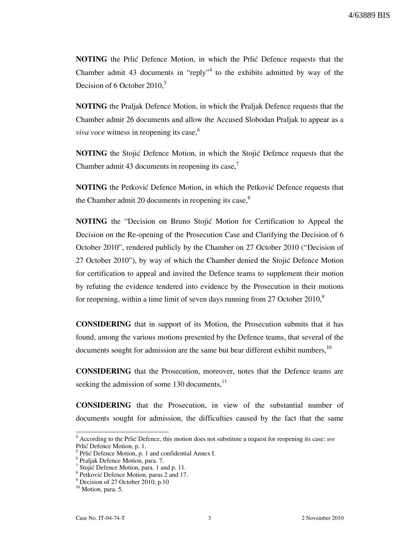NOTING the Prlic Defence Motion, in which the Prlic Defence requests that the Chamber admit 43 documents in "reply"<sup>4</sup> to the exhibits admitted by way of the Decision of 6 October 2010.<sup>5</sup>

NOTING the Praljak Defence Motion, in which the Praljak Defence requests that the Chamber admit 26 documents and allow the Accused Slobodan Praljak to appear as a *viva voce* witness in reopening its case, $^6$ 

NOTING the Stojić Defence Motion, in which the Stojić Defence requests that the Chamber admit 43 documents in reopening its case, $\frac{7}{1}$ 

**NOTING** the Petković Defence Motion, in which the Petković Defence requests that the Chamber admit 20 documents in reopening its case, $8<sup>8</sup>$ 

**NOTING** the "Decision on Bruno Stojić Motion for Certification to Appeal the Decision on the Re-opening of the Prosecution Case and Clarifying the Decision of 6 October 2010", rendered publicly by the Chamber on 27 October 2010 ("Decision of 27 October 2010"), by way of which the Chamber denied the Stojić Defence Motion for certification to appeal and invited the Defence teams to supplement their motion by refuting the evidence tendered into evidence by the Prosecution in their motions for reopening, within a time limit of seven days running from 27 October 2010, $\degree$ 

CONSIDERING that in support of its Motion, the Prosecution submits that it has found, among the various motions presented by the Defence teams, that several of the documents sought for admission are the same but bear different exhibit numbers, $10$ 

CONSIDERING that the Prosecution, moreover, notes that the Defence teams are seeking the admission of some 130 documents,<sup>11</sup>

CONSIDERING that the Prosecution, in view of the substantial number of documents sought for admission, the difficulties caused by the fact that the same

 $\overline{a}$ 

 $4$  According to the Prlić Defence, this motion does not substitute a request for reopening its case: see Prlić Defence Motion, p. 1.

 $<sup>5</sup>$  Prlić Defence Motion, p. 1 and confidential Annex I.</sup>

<sup>6</sup> Praljak Defence Motion, para. 7.

<sup>&</sup>lt;sup>7</sup> Stojić Defence Motion, para. 1 and p. 11.

<sup>&</sup>lt;sup>8</sup> Petković Defence Motion, paras 2 and 17.

<sup>&</sup>lt;sup>9</sup> Decision of 27 October 2010, p.10

<sup>&</sup>lt;sup>10</sup> Motion, para. 5.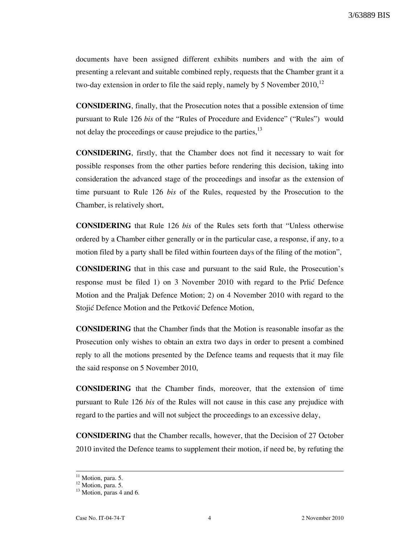3/63889 BIS

documents have been assigned different exhibits numbers and with the aim of presenting a relevant and suitable combined reply, requests that the Chamber grant it a two-day extension in order to file the said reply, namely by 5 November  $2010$ ,  $^{12}$ 

CONSIDERING, finally, that the Prosecution notes that a possible extension of time pursuant to Rule 126 bis of the "Rules of Procedure and Evidence" ("Rules") would not delay the proceedings or cause prejudice to the parties, $^{13}$ 

CONSIDERING, firstly, that the Chamber does not find it necessary to wait for possible responses from the other parties before rendering this decision, taking into consideration the advanced stage of the proceedings and insofar as the extension of time pursuant to Rule 126 bis of the Rules, requested by the Prosecution to the Chamber, is relatively short,

CONSIDERING that Rule 126 bis of the Rules sets forth that "Unless otherwise ordered by a Chamber either generally or in the particular case, a response, if any, to a motion filed by a party shall be filed within fourteen days of the filing of the motion",

CONSIDERING that in this case and pursuant to the said Rule, the Prosecution's response must be filed 1) on 3 November 2010 with regard to the Prlić Defence Motion and the Praljak Defence Motion; 2) on 4 November 2010 with regard to the Stojić Defence Motion and the Petković Defence Motion,

CONSIDERING that the Chamber finds that the Motion is reasonable insofar as the Prosecution only wishes to obtain an extra two days in order to present a combined reply to all the motions presented by the Defence teams and requests that it may file the said response on 5 November 2010,

CONSIDERING that the Chamber finds, moreover, that the extension of time pursuant to Rule 126 bis of the Rules will not cause in this case any prejudice with regard to the parties and will not subject the proceedings to an excessive delay,

CONSIDERING that the Chamber recalls, however, that the Decision of 27 October 2010 invited the Defence teams to supplement their motion, if need be, by refuting the

 $\overline{a}$ 

 $11$  Motion, para. 5.

 $12$  Motion, para. 5.

<sup>&</sup>lt;sup>13</sup> Motion, paras 4 and 6.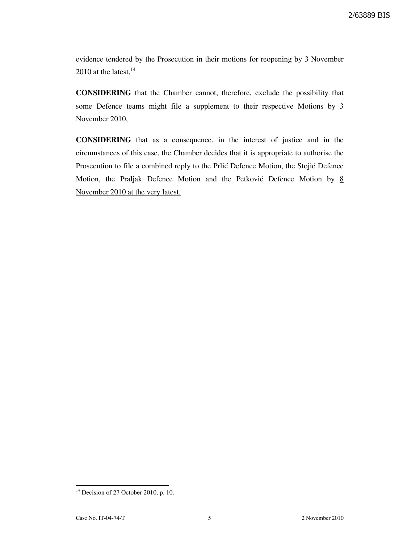evidence tendered by the Prosecution in their motions for reopening by 3 November 2010 at the latest,  $14$ 

CONSIDERING that the Chamber cannot, therefore, exclude the possibility that some Defence teams might file a supplement to their respective Motions by 3 November 2010,

CONSIDERING that as a consequence, in the interest of justice and in the circumstances of this case, the Chamber decides that it is appropriate to authorise the Prosecution to file a combined reply to the Prlić Defence Motion, the Stojić Defence Motion, the Praljak Defence Motion and the Petković Defence Motion by  $8/8$ November 2010 at the very latest,

 $\overline{a}$  $14$  Decision of 27 October 2010, p. 10.